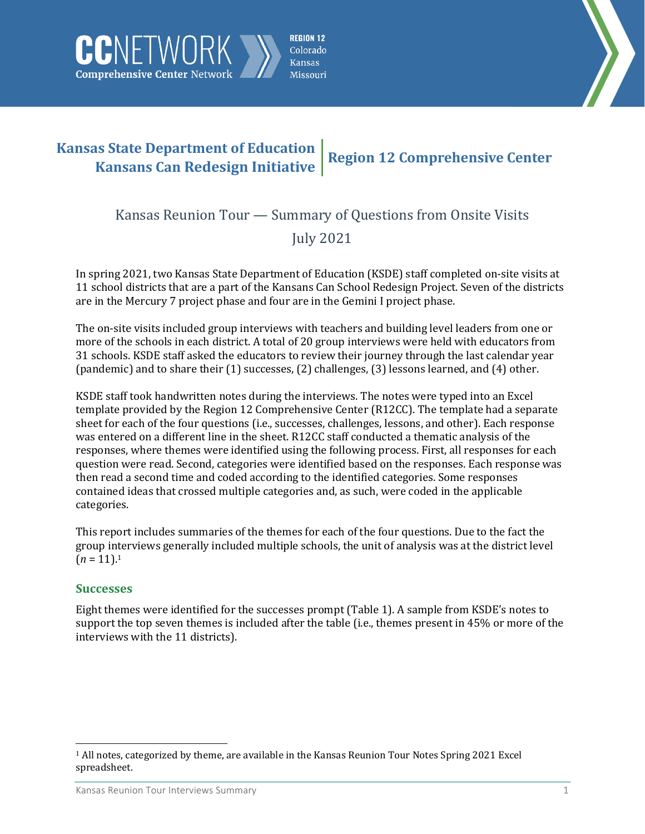



## **Kansas State Department of Education Kansans Can Redesign Initiative Region 12 Comprehensive Center**

**Comprehensive Center Network** 

# Kansas Reunion Tour — Summary of Questions from Onsite Visits July 2021

In spring 2021, two Kansas State Department of Education (KSDE) staff completed on-site visits at 11 school districts that are a part of the Kansans Can School Redesign Project. Seven of the districts are in the Mercury 7 project phase and four are in the Gemini I project phase.

The on-site visits included group interviews with teachers and building level leaders from one or more of the schools in each district. A total of 20 group interviews were held with educators from 31 schools. KSDE staff asked the educators to review their journey through the last calendar year (pandemic) and to share their (1) successes, (2) challenges, (3) lessons learned, and (4) other.

KSDE staff took handwritten notes during the interviews. The notes were typed into an Excel template provided by the Region 12 Comprehensive Center (R12CC). The template had a separate sheet for each of the four questions (i.e., successes, challenges, lessons, and other). Each response was entered on a different line in the sheet. R12CC staff conducted a thematic analysis of the responses, where themes were identified using the following process. First, all responses for each question were read. Second, categories were identified based on the responses. Each response was then read a second time and coded according to the identified categories. Some responses contained ideas that crossed multiple categories and, as such, were coded in the applicable categories.

This report includes summaries of the themes for each of the four questions. Due to the fact the group interviews generally included multiple schools, the unit of analysis was at the district level  $(n = 11).1$ 

## **Successes**

l

Eight themes were identified for the successes prompt (Table 1). A sample from KSDE's notes to support the top seven themes is included after the table (i.e., themes present in 45% or more of the interviews with the 11 districts).

<sup>1</sup> All notes, categorized by theme, are available in the Kansas Reunion Tour Notes Spring 2021 Excel spreadsheet.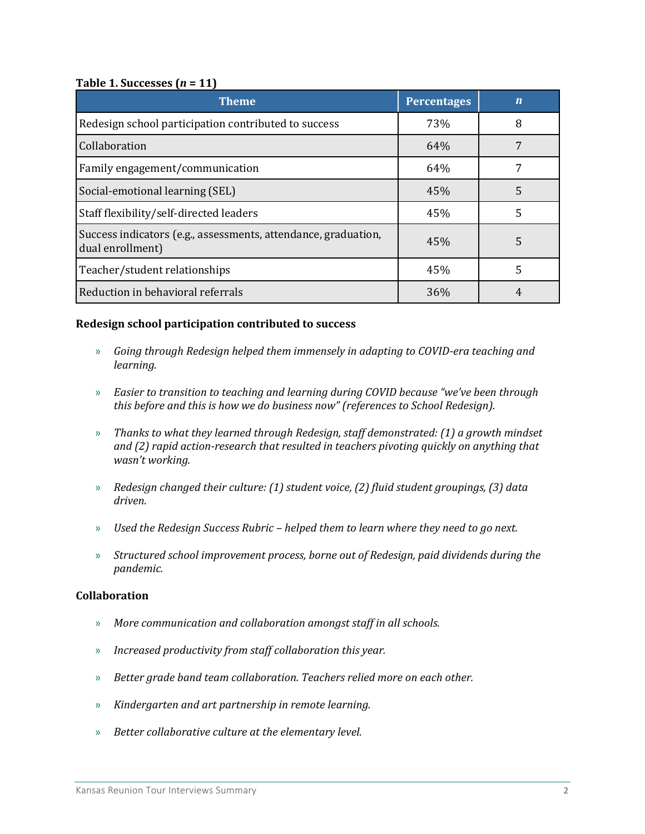#### **Table 1. Successes (***n* **= 11)**

| <b>Theme</b>                                                                       | <b>Percentages</b> | $\mathbf n$ |
|------------------------------------------------------------------------------------|--------------------|-------------|
| Redesign school participation contributed to success                               | 73%                | 8           |
| Collaboration                                                                      | 64%                |             |
| Family engagement/communication                                                    | 64%                |             |
| Social-emotional learning (SEL)                                                    | 45%                | 5           |
| Staff flexibility/self-directed leaders                                            | 45%                | 5           |
| Success indicators (e.g., assessments, attendance, graduation,<br>dual enrollment) | 45%                | 5           |
| Teacher/student relationships                                                      | 45%                | 5           |
| Reduction in behavioral referrals                                                  | 36%                |             |

#### **Redesign school participation contributed to success**

- » *Going through Redesign helped them immensely in adapting to COVID-era teaching and learning.*
- » *Easier to transition to teaching and learning during COVID because "we've been through this before and this is how we do business now" (references to School Redesign).*
- » *Thanks to what they learned through Redesign, staff demonstrated: (1) a growth mindset and (2) rapid action-research that resulted in teachers pivoting quickly on anything that wasn't working.*
- » *Redesign changed their culture: (1) student voice, (2) fluid student groupings, (3) data driven.*
- » *Used the Redesign Success Rubric – helped them to learn where they need to go next.*
- » *Structured school improvement process, borne out of Redesign, paid dividends during the pandemic.*

#### **Collaboration**

- » *More communication and collaboration amongst staff in all schools.*
- » *Increased productivity from staff collaboration this year.*
- » *Better grade band team collaboration. Teachers relied more on each other.*
- » *Kindergarten and art partnership in remote learning.*
- » *Better collaborative culture at the elementary level.*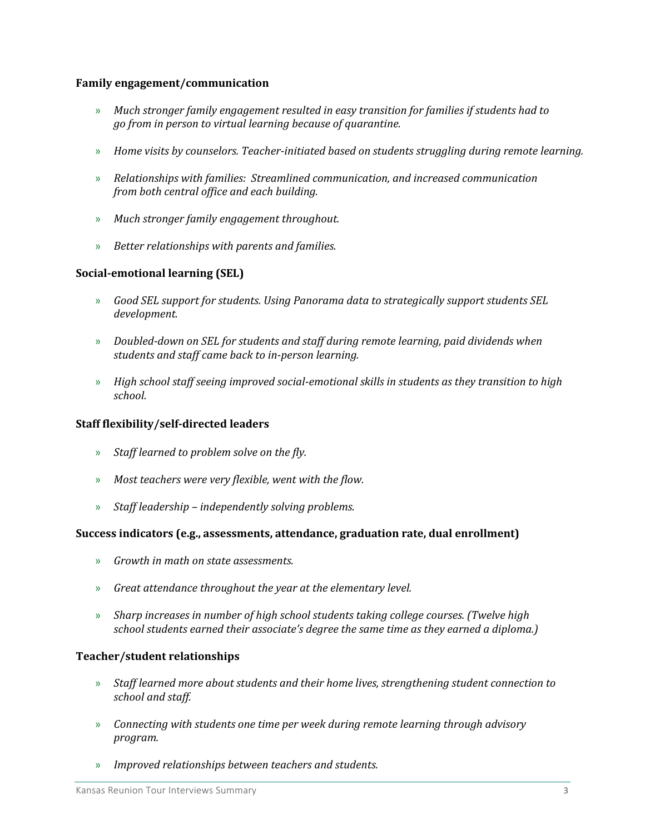#### **Family engagement/communication**

- » *Much stronger family engagement resulted in easy transition for families if students had to go from in person to virtual learning because of quarantine.*
- » *Home visits by counselors. Teacher-initiated based on students struggling during remote learning.*
- » *Relationships with families: Streamlined communication, and increased communication from both central office and each building.*
- » *Much stronger family engagement throughout.*
- » *Better relationships with parents and families.*

#### **Social-emotional learning (SEL)**

- » *Good SEL support for students. Using Panorama data to strategically support students SEL development.*
- » *Doubled-down on SEL for students and staff during remote learning, paid dividends when students and staff came back to in-person learning.*
- » *High school staff seeing improved social-emotional skills in students as they transition to high school.*

#### **Staff flexibility/self-directed leaders**

- » *Staff learned to problem solve on the fly.*
- » *Most teachers were very flexible, went with the flow.*
- » *Staff leadership – independently solving problems.*

#### **Success indicators (e.g., assessments, attendance, graduation rate, dual enrollment)**

- » *Growth in math on state assessments.*
- » *Great attendance throughout the year at the elementary level.*
- » *Sharp increases in number of high school students taking college courses. (Twelve high school students earned their associate's degree the same time as they earned a diploma.)*

#### **Teacher/student relationships**

- » *Staff learned more about students and their home lives, strengthening student connection to school and staff.*
- » *Connecting with students one time per week during remote learning through advisory program.*
- » *Improved relationships between teachers and students.*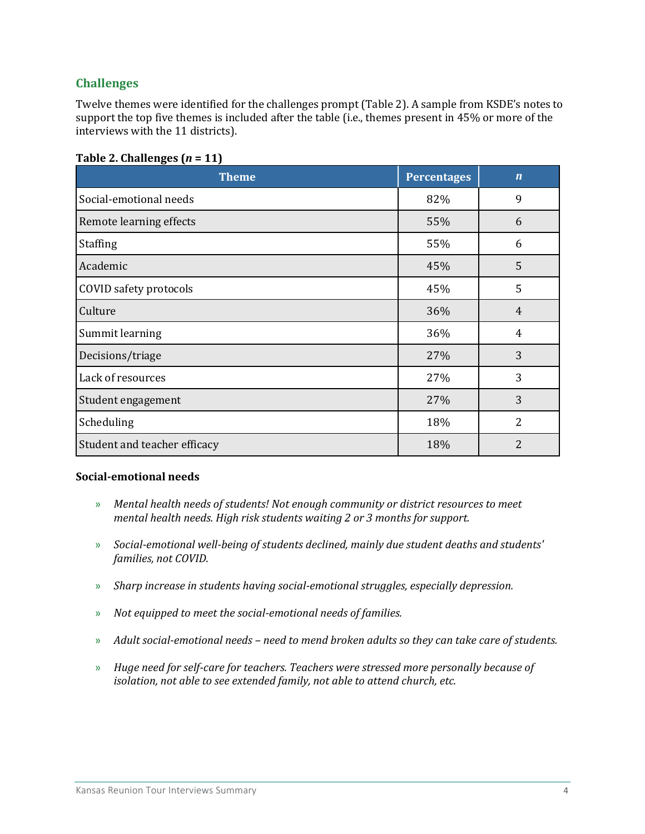## **Challenges**

Twelve themes were identified for the challenges prompt (Table 2). A sample from KSDE's notes to support the top five themes is included after the table (i.e., themes present in 45% or more of the interviews with the 11 districts).

| <b>Theme</b>                 | <b>Percentages</b> | $\mathbf n$    |
|------------------------------|--------------------|----------------|
| Social-emotional needs       | 82%                | 9              |
| Remote learning effects      | 55%                | 6              |
| <b>Staffing</b>              | 55%                | 6              |
| Academic                     | 45%                | 5              |
| COVID safety protocols       | 45%                | 5              |
| Culture                      | 36%                | $\overline{4}$ |
| Summit learning              | 36%                | $\overline{4}$ |
| Decisions/triage             | 27%                | 3              |
| Lack of resources            | 27%                | 3              |
| Student engagement           | 27%                | 3              |
| Scheduling                   | 18%                | $\overline{2}$ |
| Student and teacher efficacy | 18%                | 2              |

#### **Table 2. Challenges (***n* **= 11)**

#### **Social-emotional needs**

- » *Mental health needs of students! Not enough community or district resources to meet mental health needs. High risk students waiting 2 or 3 months for support.*
- » *Social-emotional well-being of students declined, mainly due student deaths and students' families, not COVID.*
- » *Sharp increase in students having social-emotional struggles, especially depression.*
- » *Not equipped to meet the social-emotional needs of families.*
- » *Adult social-emotional needs – need to mend broken adults so they can take care of students.*
- » *Huge need for self-care for teachers. Teachers were stressed more personally because of isolation, not able to see extended family, not able to attend church, etc.*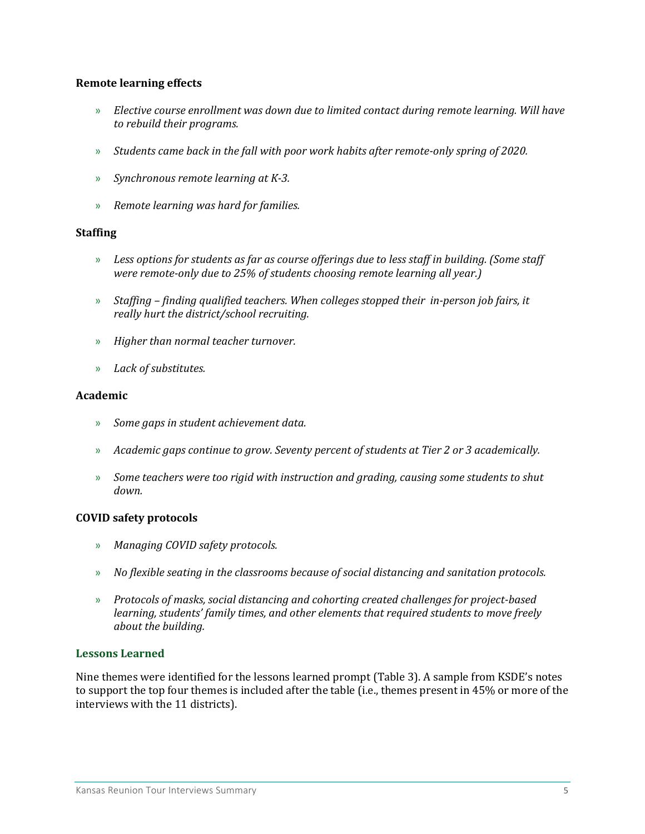#### **Remote learning effects**

- » *Elective course enrollment was down due to limited contact during remote learning. Will have to rebuild their programs.*
- » *Students came back in the fall with poor work habits after remote-only spring of 2020.*
- » *Synchronous remote learning at K-3.*
- » *Remote learning was hard for families.*

#### **Staffing**

- » *Less options for students as far as course offerings due to less staff in building. (Some staff were remote-only due to 25% of students choosing remote learning all year.)*
- » *Staffing – finding qualified teachers. When colleges stopped their in-person job fairs, it really hurt the district/school recruiting.*
- » *Higher than normal teacher turnover.*
- » *Lack of substitutes.*

#### **Academic**

- » *Some gaps in student achievement data.*
- » *Academic gaps continue to grow. Seventy percent of students at Tier 2 or 3 academically.*
- » *Some teachers were too rigid with instruction and grading, causing some students to shut down.*

#### **COVID safety protocols**

- » *Managing COVID safety protocols.*
- » *No flexible seating in the classrooms because of social distancing and sanitation protocols.*
- » *Protocols of masks, social distancing and cohorting created challenges for project-based learning, students' family times, and other elements that required students to move freely about the building.*

#### **Lessons Learned**

Nine themes were identified for the lessons learned prompt (Table 3). A sample from KSDE's notes to support the top four themes is included after the table (i.e., themes present in 45% or more of the interviews with the 11 districts).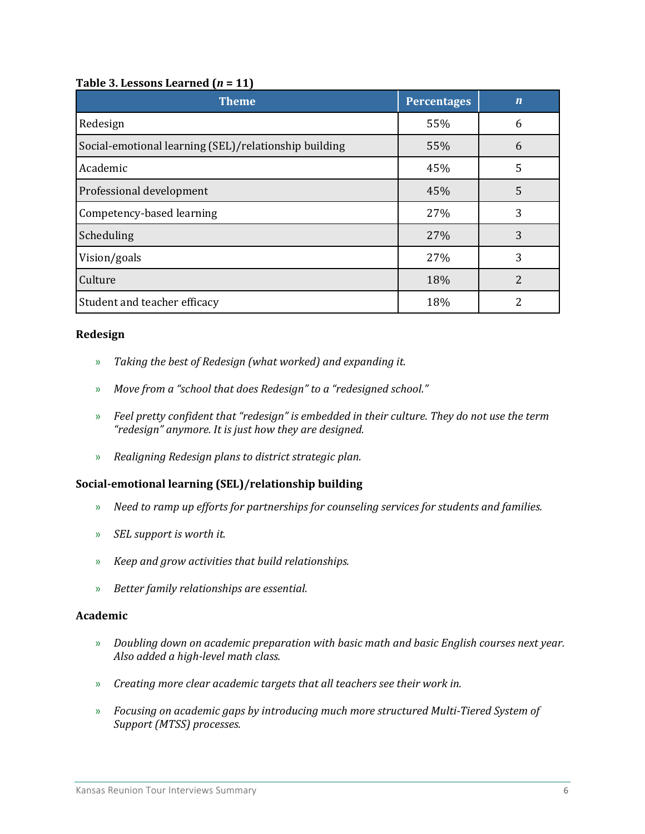#### **Table 3. Lessons Learned (***n* **= 11)**

| <b>Theme</b>                                          | <b>Percentages</b> | $\overline{\bf n}$ |
|-------------------------------------------------------|--------------------|--------------------|
| Redesign                                              | 55%                | 6                  |
| Social-emotional learning (SEL)/relationship building | 55%                | 6                  |
| Academic                                              | 45%                | 5                  |
| Professional development                              | 45%                | 5                  |
| Competency-based learning                             | 27%                | 3                  |
| Scheduling                                            | 27%                | 3                  |
| Vision/goals                                          | 27%                | 3                  |
| Culture                                               | 18%                | 2                  |
| Student and teacher efficacy                          | 18%                | っ                  |

#### **Redesign**

- » *Taking the best of Redesign (what worked) and expanding it.*
- » *Move from a "school that does Redesign" to a "redesigned school."*
- » *Feel pretty confident that "redesign" is embedded in their culture. They do not use the term "redesign" anymore. It is just how they are designed.*
- » *Realigning Redesign plans to district strategic plan.*

#### **Social-emotional learning (SEL)/relationship building**

- » *Need to ramp up efforts for partnerships for counseling services for students and families.*
- » *SEL support is worth it.*
- » *Keep and grow activities that build relationships.*
- » *Better family relationships are essential.*

#### **Academic**

- » *Doubling down on academic preparation with basic math and basic English courses next year. Also added a high-level math class.*
- » *Creating more clear academic targets that all teachers see their work in.*
- » *Focusing on academic gaps by introducing much more structured Multi-Tiered System of Support (MTSS) processes.*